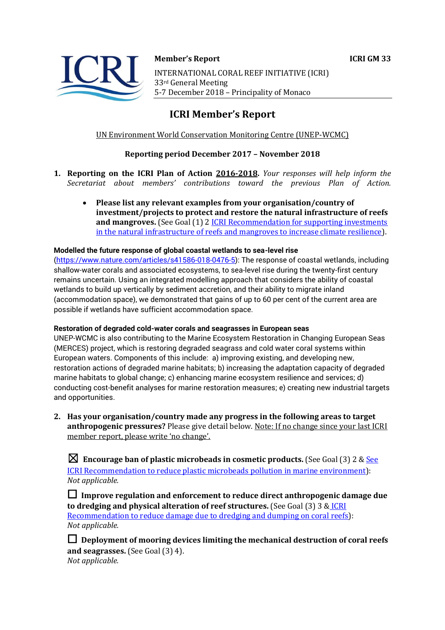

**Member's Report ICRI GM 33**  INTERNATIONAL CORAL REEF INITIATIVE (ICRI) 33rd General Meeting 5-7 December 2018 – Principality of Monaco

# **ICRI Member's Report**

# UN Environment World Conservation Monitoring Centre (UNEP-WCMC)

# **Reporting period December 2017 – November 2018**

- **1. Reporting on the ICRI Plan of Action 2016-2018.** *Your responses will help inform the Secretariat about members' contributions toward the previous Plan of Action.*
	- **Please list any relevant examples from your organisation/country of investment/projects to protect and restore the natural infrastructure of reefs and mangroves.** (See Goal (1) 2 [ICRI Recommendation for supporting investments](https://www.icriforum.org/sites/default/files/ICRI-GM32_RECO_investments_natural_infrastructure-Final.pdf)  [in the natural infrastructure of reefs and mangroves to increase climate resilience\)](https://www.icriforum.org/sites/default/files/ICRI-GM32_RECO_investments_natural_infrastructure-Final.pdf).

#### **Modelled the future response of global coastal wetlands to sea-level rise**

[\(https://www.nature.com/articles/s41586-018-0476-5\)](https://www.nature.com/articles/s41586-018-0476-5): The response of coastal wetlands, including shallow-water corals and associated ecosystems, to sea-level rise during the twenty-first century remains uncertain. Using an integrated modelling approach that considers the ability of coastal wetlands to build up vertically by sediment accretion, and their ability to migrate inland (accommodation space), we demonstrated that gains of up to 60 per cent of the current area are possible if wetlands have sufficient accommodation space.

#### **Restoration of degraded cold-water corals and seagrasses in European seas**

UNEP-WCMC is also contributing to the Marine Ecosystem Restoration in Changing European Seas (MERCES) project, which is restoring degraded seagrass and cold water coral systems within European waters. Components of this include: a) improving existing, and developing new, restoration actions of degraded marine habitats; b) increasing the adaptation capacity of degraded marine habitats to global change; c) enhancing marine ecosystem resilience and services; d) conducting cost-benefit analyses for marine restoration measures; e) creating new industrial targets and opportunities.

**2. Has your organisation/country made any progress in the following areas to target anthropogenic pressures?** Please give detail below. Note: If no change since your last ICRI member report, please write 'no change'.

☒ **Encourage ban of plastic microbeads in cosmetic products.** (See Goal (3) 2 & [See](https://www.icriforum.org/sites/default/files/ICRIGM31_Reco_microbeads_0.pdf)  [ICRI Recommendation to reduce plastic microbeads pollution in marine environment\)](https://www.icriforum.org/sites/default/files/ICRIGM31_Reco_microbeads_0.pdf): *Not applicable.*

☐ **Improve regulation and enforcement to reduce direct anthropogenic damage due to dredging and physical alteration of reef structures.** (See Goal (3) 3 & [ICRI](https://www.icriforum.org/sites/default/files/ICRI-GM32_RECO_Dredging.pdf)  [Recommendation to reduce damage due to dredging and dumping on coral reefs\)](https://www.icriforum.org/sites/default/files/ICRI-GM32_RECO_Dredging.pdf): *Not applicable.*

□ Deployment of mooring devices limiting the mechanical destruction of coral reefs **and seagrasses.** (See Goal (3) 4). *Not applicable.*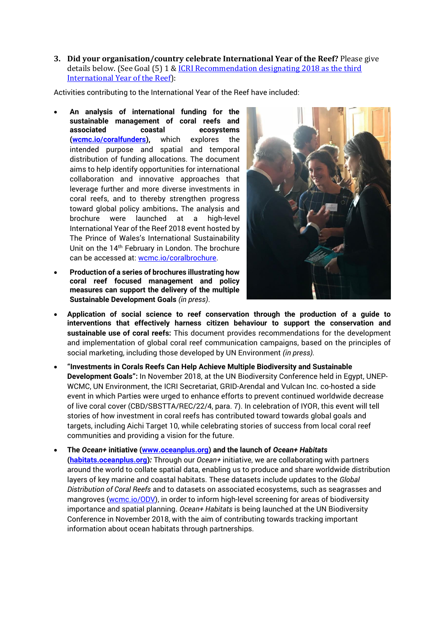**3. Did your organisation/country celebrate International Year of the Reef?** Please give details below. (See Goal (5) 1 & ICRI Recommendation designating 2018 as the third [International Year of the Reef\)](https://www.icriforum.org/sites/default/files/ICRIGM31_Reco_IYOR2018_0.pdf):

Activities contributing to the International Year of the Reef have included:

- **An analysis of international funding for the sustainable management of coral reefs and associated coastal ecosystems [\(wcmc.io/coralfunders\)](https://wcmc.io/coralfunders),** which explores the intended purpose and spatial and temporal distribution of funding allocations. The document aims to help identify opportunities for international collaboration and innovative approaches that leverage further and more diverse investments in coral reefs, and to thereby strengthen progress toward global policy ambitions**.** The analysis and brochure were launched at a high-level International Year of the Reef 2018 event hosted by The Prince of Wales's International Sustainability Unit on the 14<sup>th</sup> February in London. The brochure can be accessed at: [wcmc.io/coralbrochure.](http://wcmc.io/coralbrochure)
- **Production of a series of brochures illustrating how coral reef focused management and policy measures can support the delivery of the multiple Sustainable Development Goals** *(in press)*.



- **Application of social science to reef conservation through the production of a guide to interventions that effectively harness citizen behaviour to support the conservation and sustainable use of coral reefs:** This document provides recommendations for the development and implementation of global coral reef communication campaigns, based on the principles of social marketing, including those developed by UN Environment *(in press).*
- **"Investments in Corals Reefs Can Help Achieve Multiple Biodiversity and Sustainable Development Goals":** In November 2018, at the UN Biodiversity Conference held in Egypt, UNEP-WCMC, UN Environment, the ICRI Secretariat, GRID-Arendal and Vulcan Inc. co-hosted a side event in which Parties were urged to enhance efforts to prevent continued worldwide decrease of live coral cover (CBD/SBSTTA/REC/22/4, para. 7). In celebration of IYOR, this event will tell stories of how investment in coral reefs has contributed toward towards global goals and targets, including Aichi Target 10, while celebrating stories of success from local coral reef communities and providing a vision for the future.
- **The** *Ocean+* **initiative [\(www.oceanplus.org\)](http://www.oceanplus.org/) and the launch of** *Ocean+ Habitats* **[\(habitats.oceanplus.org\)](http://habitats.oceanplus.org/)***:* Through our *Ocean+* initiative, we are collaborating with partners around the world to collate spatial data, enabling us to produce and share worldwide distribution layers of key marine and coastal habitats. These datasets include updates to the *Global Distribution of Coral Reefs* and to datasets on associated ecosystems, such as seagrasses and mangroves [\(wcmc.io/ODV\)](http://wcmc.io/ODV), in order to inform high-level screening for areas of biodiversity importance and spatial planning. *Ocean+ Habitats* is being launched at the UN Biodiversity Conference in November 2018, with the aim of contributing towards tracking important information about ocean habitats through partnerships.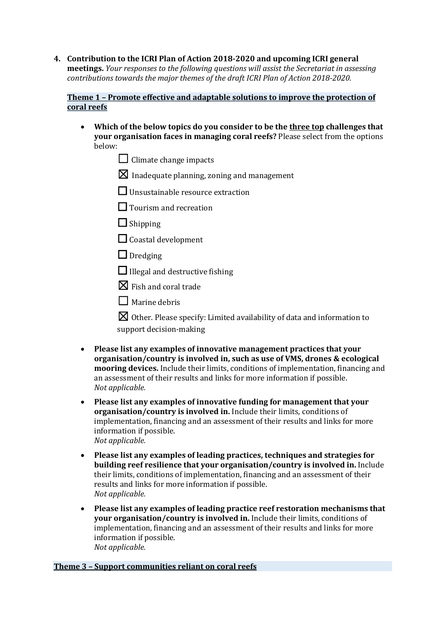**4. Contribution to the ICRI Plan of Action 2018-2020 and upcoming ICRI general meetings.** *Your responses to the following questions will assist the Secretariat in assessing contributions towards the major themes of the draft ICRI Plan of Action 2018-2020.*

### **Theme 1 – Promote effective and adaptable solutions to improve the protection of coral reefs**

- **Which of the below topics do you consider to be the three top challenges that your organisation faces in managing coral reefs?** Please select from the options below:
	- $\Box$  Climate change impacts
	- $\boxtimes$  Inadequate planning, zoning and management
	- ☐ Unsustainable resource extraction
	- □ Tourism and recreation
	- $\Box$  Shipping
	- $\Box$  Coastal development
	- $\Box$  Dredging
	- $\Box$  Illegal and destructive fishing
	- $\boxtimes$  Fish and coral trade
	- ☐Marine debris

 $\boxtimes$  Other. Please specify: Limited availability of data and information to support decision-making

- **Please list any examples of innovative management practices that your organisation/country is involved in, such as use of VMS, drones & ecological mooring devices.** Include their limits, conditions of implementation, financing and an assessment of their results and links for more information if possible. *Not applicable.*
- **Please list any examples of innovative funding for management that your organisation/country is involved in.** Include their limits, conditions of implementation, financing and an assessment of their results and links for more information if possible. *Not applicable.*
- **Please list any examples of leading practices, techniques and strategies for building reef resilience that your organisation/country is involved in.** Include their limits, conditions of implementation, financing and an assessment of their results and links for more information if possible. *Not applicable.*
- **Please list any examples of leading practice reef restoration mechanisms that your organisation/country is involved in.** Include their limits, conditions of implementation, financing and an assessment of their results and links for more information if possible. *Not applicable.*

## **Theme 3 – Support communities reliant on coral reefs**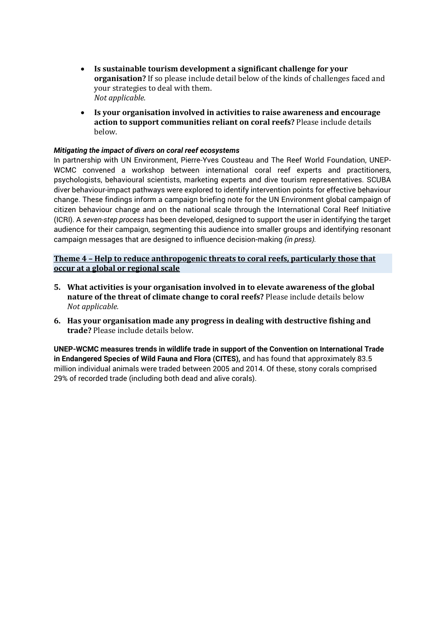- **Is sustainable tourism development a significant challenge for your organisation?** If so please include detail below of the kinds of challenges faced and your strategies to deal with them. *Not applicable.*
- **Is your organisation involved in activities to raise awareness and encourage action to support communities reliant on coral reefs?** Please include details below.

#### *Mitigating the impact of divers on coral reef ecosystems*

In partnership with UN Environment, Pierre-Yves Cousteau and The Reef World Foundation, UNEP-WCMC convened a workshop between international coral reef experts and practitioners, psychologists, behavioural scientists, marketing experts and dive tourism representatives. SCUBA diver behaviour-impact pathways were explored to identify intervention points for effective behaviour change. These findings inform a campaign briefing note for the UN Environment global campaign of citizen behaviour change and on the national scale through the International Coral Reef Initiative (ICRI). A *seven-step process* has been developed, designed to support the user in identifying the target audience for their campaign, segmenting this audience into smaller groups and identifying resonant campaign messages that are designed to influence decision-making *(in press).*

**Theme 4 – Help to reduce anthropogenic threats to coral reefs, particularly those that occur at a global or regional scale**

- **5. What activities is your organisation involved in to elevate awareness of the global nature of the threat of climate change to coral reefs?** Please include details below *Not applicable.*
- **6. Has your organisation made any progress in dealing with destructive fishing and trade?** Please include details below.

**UNEP-WCMC measures trends in wildlife trade in support of the Convention on International Trade in Endangered Species of Wild Fauna and Flora (CITES),** and has found that approximately 83.5 million individual animals were traded between 2005 and 2014. Of these, stony corals comprised 29% of recorded trade (including both dead and alive corals).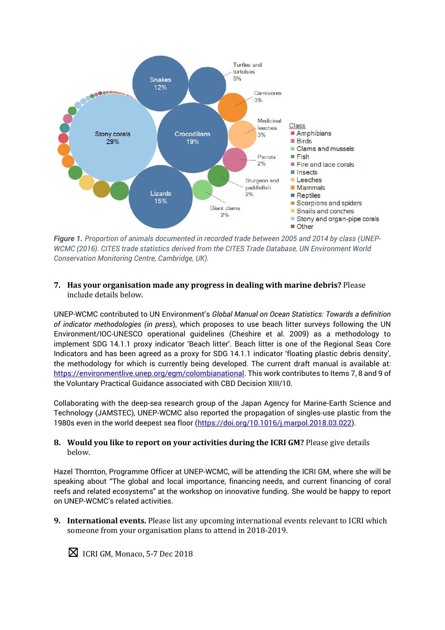

*Figure 1. Proportion of animals documented in recorded trade between 2005 and 2014 by class (UNEP-WCMC (2016). CITES trade statistics derived from the CITES Trade Database, UN Environment World Conservation Monitoring Centre, Cambridge, UK).*

#### **7. Has your organisation made any progress in dealing with marine debris?** Please include details below.

UNEP-WCMC contributed to UN Environment's *Global Manual on Ocean Statistics: Towards a definition of indicator methodologies (in press*), which proposes to use beach litter surveys following the UN Environment/IOC-UNESCO operational guidelines (Cheshire et al. 2009) as a methodology to implement SDG 14.1.1 proxy indicator 'Beach litter'. Beach litter is one of the Regional Seas Core Indicators and has been agreed as a proxy for SDG 14.1.1 indicator 'floating plastic debris density', the methodology for which is currently being developed. The current draft manual is available at: [https://environmentlive.unep.org/egm/colombianational.](https://environmentlive.unep.org/egm/colombianational) This work contributes to Items 7, 8 and 9 of the Voluntary Practical Guidance associated with CBD Decision XIII/10.

Collaborating with the deep-sea research group of the Japan Agency for Marine-Earth Science and Technology (JAMSTEC), UNEP-WCMC also reported the propagation of singles-use plastic from the 1980s even in the world deepest sea floor [\(https://doi.org/10.1016/j.marpol.2018.03.022\)](https://doi.org/10.1016/j.marpol.2018.03.022).

#### **8. Would you like to report on your activities during the ICRI GM?** Please give details below.

Hazel Thornton, Programme Officer at UNEP-WCMC, will be attending the ICRI GM, where she will be speaking about "The global and local importance, financing needs, and current financing of coral reefs and related ecosystems" at the workshop on innovative funding. She would be happy to report on UNEP-WCMC's related activities.

**9. International events.** Please list any upcoming international events relevant to ICRI which someone from your organisation plans to attend in 2018-2019.



☒ICRI GM, Monaco, 5-7 Dec 2018